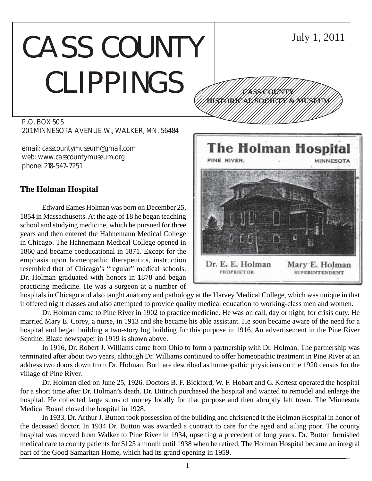# CASS COUNTY CLIPPINGS

P.O. BOX 505 201 MINNESOTA AVENUE W., WALKER, MN. 56484

email: casscountymuseum@gmail.com web: www.casscountymuseum.org phone: 218-547-7251

## **The Holman Hospital**

Edward Eames Holman was born on December 25, 1854 in Massachusetts. At the age of 18 he began teaching school and studying medicine, which he pursued for three years and then entered the Hahnemann Medical College in Chicago. The Hahnemann Medical College opened in 1860 and became coeducational in 1871. Except for the emphasis upon homeopathic therapeutics, instruction resembled that of Chicago's "regular" medical schools. Dr. Holman graduated with honors in 1878 and began practicing medicine. He was a surgeon at a number of



hospitals in Chicago and also taught anatomy and pathology at the Harvey Medical College, which was unique in that it offered night classes and also attempted to provide quality medical education to working-class men and women.

Dr. Holman came to Pine River in 1902 to practice medicine. He was on call, day or night, for crisis duty. He married Mary E. Corey, a nurse, in 1913 and she became his able assistant. He soon became aware of the need for a hospital and began building a two-story log building for this purpose in 1916. An advertisement in the Pine River Sentinel Blaze newspaper in 1919 is shown above.

In 1916, Dr. Robert J. Williams came from Ohio to form a partnership with Dr. Holman. The partnership was terminated after about two years, although Dr. Williams continued to offer homeopathic treatment in Pine River at an address two doors down from Dr. Holman. Both are described as homeopathic physicians on the 1920 census for the village of Pine River.

Dr. Holman died on June 25, 1926. Doctors B. F. Bickford, W. F. Hobart and G. Kertesz operated the hospital for a short time after Dr. Holman's death. Dr. Dittrich purchased the hospital and wanted to remodel and enlarge the hospital. He collected large sums of money locally for that purpose and then abruptly left town. The Minnesota Medical Board closed the hospital in 1928.

In 1933, Dr. Arthur J. Button took possession of the building and christened it the Holman Hospital in honor of the deceased doctor. In 1934 Dr. Button was awarded a contract to care for the aged and ailing poor. The county hospital was moved from Walker to Pine River in 1934, upsetting a precedent of long years. Dr. Button furnished medical care to county patients for \$125 a month until 1938 when he retired. The Holman Hospital became an integral part of the Good Samaritan Home, which had its grand opening in 1959.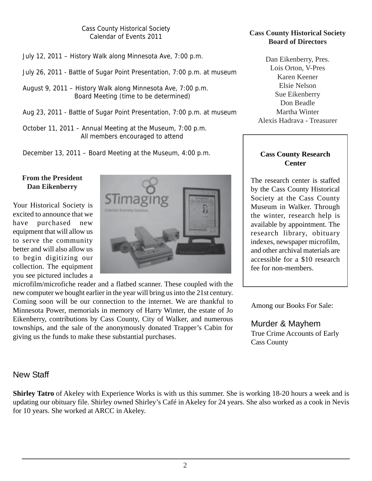Cass County Historical Society Calendar of Events 2011

July 12, 2011 – History Walk along Minnesota Ave, 7:00 p.m.

- July 26, 2011 Battle of Sugar Point Presentation, 7:00 p.m. at museum
- August 9, 2011 History Walk along Minnesota Ave, 7:00 p.m. Board Meeting (time to be determined)
- Aug 23, 2011 Battle of Sugar Point Presentation, 7:00 p.m. at museum
- October 11, 2011 Annual Meeting at the Museum, 7:00 p.m. All members encouraged to attend

December 13, 2011 – Board Meeting at the Museum, 4:00 p.m.

#### **From the President Dan Eikenberry**

Your Historical Society is excited to announce that we have purchased new equipment that will allow us to serve the community better and will also allow us to begin digitizing our collection. The equipment you see pictured includes a



microfilm/microfiche reader and a flatbed scanner. These coupled with the new computer we bought earlier in the year will bring us into the 21st century. Coming soon will be our connection to the internet. We are thankful to Minnesota Power, memorials in memory of Harry Winter, the estate of Jo Eikenberry, contributions by Cass County, City of Walker, and numerous townships, and the sale of the anonymously donated Trapper's Cabin for giving us the funds to make these substantial purchases.

#### **Cass County Historical Society Board of Directors**

Dan Eikenberry, Pres. Lois Orton, V-Pres Karen Keener Elsie Nelson Sue Eikenberry Don Beadle Martha Winter Alexis Hadrava - Treasurer

#### **Cass County Research Center**

The research center is staffed by the Cass County Historical Society at the Cass County Museum in Walker. Through the winter, research help is available by appointment. The research library, obituary indexes, newspaper microfilm, and other archival materials are accessible for a \$10 research fee for non-members.

Among our Books For Sale:

Murder & Mayhem True Crime Accounts of Early Cass County

## New Staff

**Shirley Tatro** of Akeley with Experience Works is with us this summer. She is working 18-20 hours a week and is updating our obituary file. Shirley owned Shirley's Café in Akeley for 24 years. She also worked as a cook in Nevis for 10 years. She worked at ARCC in Akeley.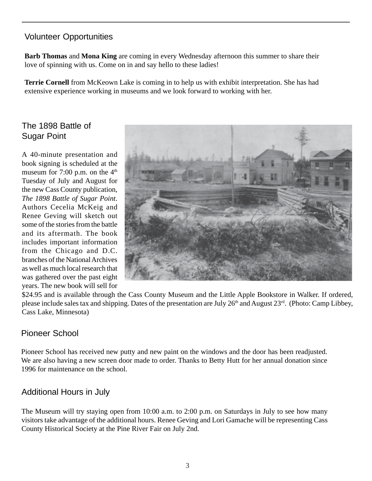# Volunteer Opportunities

**Barb Thomas** and **Mona King** are coming in every Wednesday afternoon this summer to share their love of spinning with us. Come on in and say hello to these ladies!

**Terrie Cornell** from McKeown Lake is coming in to help us with exhibit interpretation. She has had extensive experience working in museums and we look forward to working with her.

# The 1898 Battle of Sugar Point

A 40-minute presentation and book signing is scheduled at the museum for 7:00 p.m. on the  $4<sup>th</sup>$ Tuesday of July and August for the new Cass County publication, *The 1898 Battle of Sugar Point*. Authors Cecelia McKeig and Renee Geving will sketch out some of the stories from the battle and its aftermath. The book includes important information from the Chicago and D.C. branches of the National Archives as well as much local research that was gathered over the past eight years. The new book will sell for



\$24.95 and is available through the Cass County Museum and the Little Apple Bookstore in Walker. If ordered, please include sales tax and shipping. Dates of the presentation are July 26<sup>th</sup> and August 23<sup>rd</sup>. (Photo: Camp Libbey, Cass Lake, Minnesota)

## Pioneer School

Pioneer School has received new putty and new paint on the windows and the door has been readjusted. We are also having a new screen door made to order. Thanks to Betty Hutt for her annual donation since 1996 for maintenance on the school.

## Additional Hours in July

The Museum will try staying open from 10:00 a.m. to 2:00 p.m. on Saturdays in July to see how many visitors take advantage of the additional hours. Renee Geving and Lori Gamache will be representing Cass County Historical Society at the Pine River Fair on July 2nd.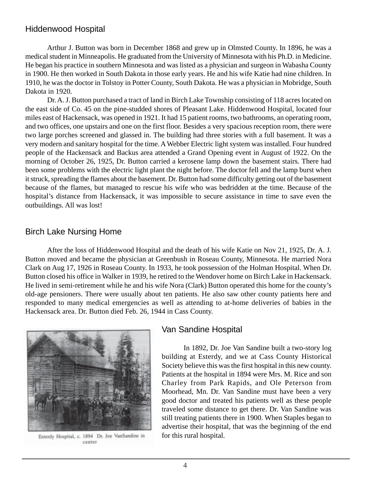## Hiddenwood Hospital

Arthur J. Button was born in December 1868 and grew up in Olmsted County. In 1896, he was a medical student in Minneapolis. He graduated from the University of Minnesota with his Ph.D. in Medicine. He began his practice in southern Minnesota and was listed as a physician and surgeon in Wabasha County in 1900. He then worked in South Dakota in those early years. He and his wife Katie had nine children. In 1910, he was the doctor in Tolstoy in Potter County, South Dakota. He was a physician in Mobridge, South Dakota in 1920.

Dr. A. J. Button purchased a tract of land in Birch Lake Township consisting of 118 acres located on the east side of Co. 45 on the pine-studded shores of Pleasant Lake. Hiddenwood Hospital, located four miles east of Hackensack, was opened in 1921. It had 15 patient rooms, two bathrooms, an operating room, and two offices, one upstairs and one on the first floor. Besides a very spacious reception room, there were two large porches screened and glassed in. The building had three stories with a full basement. It was a very modern and sanitary hospital for the time. A Webber Electric light system was installed. Four hundred people of the Hackensack and Backus area attended a Grand Opening event in August of 1922. On the morning of October 26, 1925, Dr. Button carried a kerosene lamp down the basement stairs. There had been some problems with the electric light plant the night before. The doctor fell and the lamp burst when it struck, spreading the flames about the basement. Dr. Button had some difficulty getting out of the basement because of the flames, but managed to rescue his wife who was bedridden at the time. Because of the hospital's distance from Hackensack, it was impossible to secure assistance in time to save even the outbuildings. All was lost!

## Birch Lake Nursing Home

After the loss of Hiddenwood Hospital and the death of his wife Katie on Nov 21, 1925, Dr. A. J. Button moved and became the physician at Greenbush in Roseau County, Minnesota. He married Nora Clark on Aug 17, 1926 in Roseau County. In 1933, he took possession of the Holman Hospital. When Dr. Button closed his office in Walker in 1939, he retired to the Wendover home on Birch Lake in Hackensack. He lived in semi-retirement while he and his wife Nora (Clark) Button operated this home for the county's old-age pensioners. There were usually about ten patients. He also saw other county patients here and responded to many medical emergencies as well as attending to at-home deliveries of babies in the Hackensack area. Dr. Button died Feb. 26, 1944 in Cass County.



Esterdy Hospital, c. 1894 Dr. Joe VanSandine in center

#### Van Sandine Hospital

In 1892, Dr. Joe Van Sandine built a two-story log building at Esterdy, and we at Cass County Historical Society believe this was the first hospital in this new county. Patients at the hospital in 1894 were Mrs. M. Rice and son Charley from Park Rapids, and Ole Peterson from Moorhead, Mn. Dr. Van Sandine must have been a very good doctor and treated his patients well as these people traveled some distance to get there. Dr. Van Sandine was still treating patients there in 1900. When Staples began to advertise their hospital, that was the beginning of the end for this rural hospital.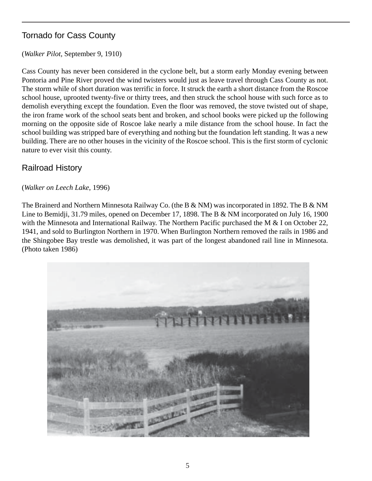# Tornado for Cass County

## (*Walker Pilot*, September 9, 1910)

Cass County has never been considered in the cyclone belt, but a storm early Monday evening between Pontoria and Pine River proved the wind twisters would just as leave travel through Cass County as not. The storm while of short duration was terrific in force. It struck the earth a short distance from the Roscoe school house, uprooted twenty-five or thirty trees, and then struck the school house with such force as to demolish everything except the foundation. Even the floor was removed, the stove twisted out of shape, the iron frame work of the school seats bent and broken, and school books were picked up the following morning on the opposite side of Roscoe lake nearly a mile distance from the school house. In fact the school building was stripped bare of everything and nothing but the foundation left standing. It was a new building. There are no other houses in the vicinity of the Roscoe school. This is the first storm of cyclonic nature to ever visit this county.

# Railroad History

## (*Walker on Leech Lake*, 1996)

The Brainerd and Northern Minnesota Railway Co. (the B & NM) was incorporated in 1892. The B & NM Line to Bemidii, 31.79 miles, opened on December 17, 1898. The B & NM incorporated on July 16, 1900 with the Minnesota and International Railway. The Northern Pacific purchased the M & I on October 22, 1941, and sold to Burlington Northern in 1970. When Burlington Northern removed the rails in 1986 and the Shingobee Bay trestle was demolished, it was part of the longest abandoned rail line in Minnesota. (Photo taken 1986)